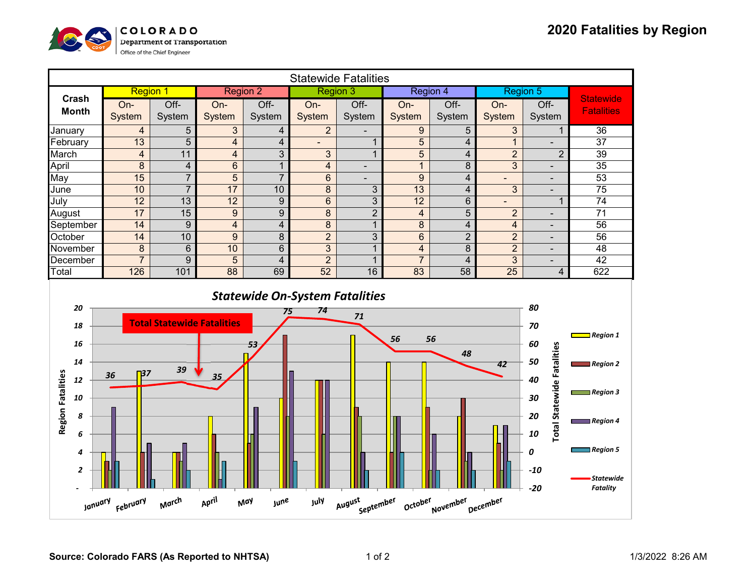

| <b>Statewide Fatalities</b>                                                                                                   |                                                     |                         |                         |                         |                          |                          |                         |                         |                         |                                   |                         |
|-------------------------------------------------------------------------------------------------------------------------------|-----------------------------------------------------|-------------------------|-------------------------|-------------------------|--------------------------|--------------------------|-------------------------|-------------------------|-------------------------|-----------------------------------|-------------------------|
|                                                                                                                               | <b>Region 1</b>                                     |                         | <b>Region 2</b>         |                         | <b>Region 3</b>          |                          | Region 4                |                         | Region 5                |                                   |                         |
| Crash                                                                                                                         | On-                                                 | Off-                    | On-                     | Off-                    | On-                      | Off-                     | On-                     | Off-                    | On-                     | Off-                              | <b>Statewide</b>        |
| <b>Month</b>                                                                                                                  | System                                              | System                  | System                  | System                  | System                   | System                   | System                  | System                  | System                  | System                            | <b>Fatalities</b>       |
| January                                                                                                                       | $\overline{\mathbf{4}}$                             | 5                       | 3                       | 4                       | $\overline{2}$           |                          | $\boldsymbol{9}$        | 5                       | 3                       | $\mathbf{1}$                      | $\overline{36}$         |
| February                                                                                                                      | 13                                                  | 5                       | $\overline{\mathbf{4}}$ | $\overline{\mathbf{4}}$ | $\overline{\phantom{a}}$ | $\mathbf{1}$             | 5                       | 4                       | $\mathbf{1}$            | $\overline{\phantom{0}}$          | 37                      |
| March                                                                                                                         | $\overline{\mathbf{4}}$                             | 11                      | $\overline{\mathbf{4}}$ | 3                       | 3                        | $\mathbf{1}$             | 5                       | 4                       | $\overline{2}$          | $\overline{2}$                    | 39                      |
| April                                                                                                                         | 8                                                   | $\overline{\mathbf{4}}$ | $6\phantom{a}$          | $\overline{1}$          | $\overline{\mathbf{4}}$  | $\blacksquare$           | $\mathbf{1}$            | 8                       | 3                       | $\overline{\phantom{a}}$          | 35                      |
| May                                                                                                                           | 15                                                  | $\overline{7}$          | $\overline{5}$          | $\overline{7}$          | $\,6$                    | $\overline{\phantom{0}}$ | $\boldsymbol{9}$        | $\overline{\mathbf{4}}$ | $\blacksquare$          | $\blacksquare$                    | 53                      |
| June                                                                                                                          | 10                                                  | $\overline{7}$          | 17                      | 10                      | 8                        | 3                        | 13                      | $\overline{\mathbf{4}}$ | 3                       | $\blacksquare$                    | 75                      |
| July                                                                                                                          | 12                                                  | 13                      | 12                      | $\overline{9}$          | $\,6$                    | 3                        | 12                      | $6\phantom{a}$          | $\overline{a}$          | $\mathbf{1}$                      | 74                      |
| August                                                                                                                        | 17                                                  | $\overline{15}$         | $\boldsymbol{9}$        | $\overline{9}$          | $\bf 8$                  | $\overline{2}$           | $\overline{\mathbf{4}}$ | 5                       | $\overline{2}$          | $\overline{\phantom{a}}$          | $\overline{71}$         |
| September                                                                                                                     | 14                                                  | 9                       | $\overline{\mathbf{4}}$ | $\overline{\mathbf{4}}$ | $\bf 8$                  | $\mathbf{1}$             | $\bf 8$                 | $\overline{\mathbf{4}}$ | $\overline{\mathbf{4}}$ | $\overline{\phantom{a}}$          | $\overline{56}$         |
| October                                                                                                                       | $\overline{14}$                                     | 10                      | 9                       | $\bf 8$                 | $\overline{2}$           | $\overline{3}$           | $6\phantom{1}$          | $\overline{2}$          | $\overline{2}$          | $\overline{\phantom{a}}$          | $\overline{56}$         |
| November                                                                                                                      | $\boldsymbol{8}$                                    | $6\phantom{1}$          | 10                      | $6\phantom{1}$          | $\overline{3}$           | $\mathbf{1}$             | $\overline{\mathbf{4}}$ | 8                       | $\overline{2}$          | $\overline{\phantom{a}}$          | $\overline{48}$         |
| December                                                                                                                      | $\overline{7}$                                      | 9                       | 5                       | $\overline{4}$          | $\overline{2}$           | $\mathbf{1}$             | $\overline{7}$          | $\overline{\mathbf{4}}$ | 3                       | $\blacksquare$                    | 42                      |
| Total                                                                                                                         | 126                                                 | 101                     | $\overline{88}$         | 69                      | 52                       | 16                       | 83                      | $\overline{58}$         | $\overline{25}$         | $\overline{\mathbf{4}}$           | 622                     |
| <b>Statewide On-System Fatalities</b><br>80<br>20                                                                             |                                                     |                         |                         |                         |                          |                          |                         |                         |                         |                                   |                         |
|                                                                                                                               | 74<br>75<br>71<br><b>Total Statewide Fatalities</b> |                         |                         |                         |                          |                          |                         |                         |                         |                                   |                         |
| 18                                                                                                                            |                                                     |                         |                         |                         |                          |                          |                         |                         |                         | 70                                | $\Box$ Region 1         |
| 16                                                                                                                            |                                                     |                         |                         | 53                      |                          |                          | 56                      | 56                      |                         | 60                                |                         |
| 14                                                                                                                            |                                                     |                         |                         |                         |                          |                          |                         | 48                      |                         | <b>Total Statewide Fatalities</b> |                         |
|                                                                                                                               | 37                                                  | 39                      |                         |                         |                          |                          |                         |                         | 42                      | 50                                | $\blacksquare$ Region 2 |
| 12                                                                                                                            | 36                                                  |                         | 35                      |                         |                          |                          |                         |                         |                         | 40                                |                         |
| <b>Region Fatalities</b><br>10                                                                                                |                                                     |                         |                         |                         |                          |                          |                         |                         |                         | 30                                | $\Box$ Region 3         |
|                                                                                                                               |                                                     |                         |                         |                         |                          |                          |                         |                         |                         |                                   |                         |
| 8                                                                                                                             |                                                     |                         |                         |                         |                          |                          |                         |                         |                         | 20                                | $\equiv$ Region 4       |
| 6                                                                                                                             |                                                     |                         |                         |                         |                          |                          |                         |                         |                         | 10                                |                         |
|                                                                                                                               |                                                     |                         |                         |                         |                          |                          |                         |                         |                         |                                   |                         |
| 4                                                                                                                             |                                                     |                         |                         |                         |                          |                          |                         |                         |                         | 0                                 | $\Box$ Region 5         |
| $\overline{\mathbf{z}}$                                                                                                       |                                                     |                         |                         |                         |                          |                          |                         |                         |                         | $-10$                             |                         |
|                                                                                                                               |                                                     |                         |                         |                         |                          |                          |                         |                         |                         |                                   | <b>Statewide</b>        |
|                                                                                                                               |                                                     |                         |                         |                         |                          |                          |                         |                         |                         | $-20$                             | <b>Fatality</b>         |
| April<br>March<br>July<br>August<br>February<br>May<br><b>june</b><br>September<br>October<br>November<br>December<br>January |                                                     |                         |                         |                         |                          |                          |                         |                         |                         |                                   |                         |